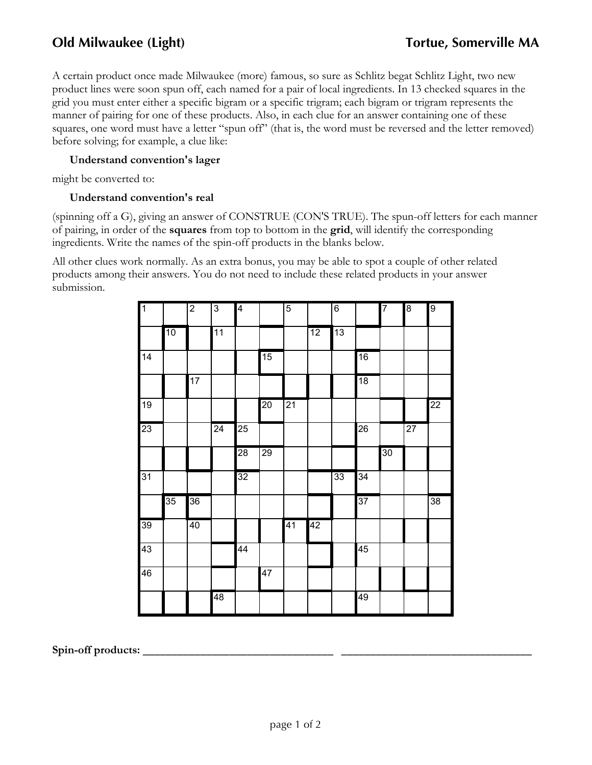A certain product once made Milwaukee (more) famous, so sure as Schlitz begat Schlitz Light, two new product lines were soon spun off, each named for a pair of local ingredients. In 13 checked squares in the grid you must enter either a specific bigram or a specific trigram; each bigram or trigram represents the manner of pairing for one of these products. Also, in each clue for an answer containing one of these squares, one word must have a letter "spun off" (that is, the word must be reversed and the letter removed) before solving; for example, a clue like:

## **Understand convention's lager**

might be converted to:

### **Understand convention's real**

(spinning off a G), giving an answer of CONSTRUE (CON'S TRUE). The spun-off letters for each manner of pairing, in order of the **squares** from top to bottom in the **grid**, will identify the corresponding ingredients. Write the names of the spin-off products in the blanks below.

All other clues work normally. As an extra bonus, you may be able to spot a couple of other related products among their answers. You do not need to include these related products in your answer submission.

| $\overline{1}$  |    | $\overline{2}$ | $\overline{3}$ | 4               |                 | $\overline{5}$  |    | $\overline{6}$ |                 | 7  | 8               | 9  |
|-----------------|----|----------------|----------------|-----------------|-----------------|-----------------|----|----------------|-----------------|----|-----------------|----|
|                 | 10 |                | 11             |                 |                 |                 | 12 | 13             |                 |    |                 |    |
| 14              |    |                |                |                 | 15              |                 |    |                | 16              |    |                 |    |
|                 |    | 17             |                |                 |                 |                 |    |                | 18              |    |                 |    |
| $\overline{19}$ |    |                |                |                 | $\overline{20}$ | $\overline{21}$ |    |                |                 |    |                 | 22 |
| 23              |    |                | 24             | 25              |                 |                 |    |                | 26              |    | $\overline{27}$ |    |
|                 |    |                |                | 28              | 29              |                 |    |                |                 | 30 |                 |    |
| 31              |    |                |                | $\overline{32}$ |                 |                 |    | 33             | $\overline{34}$ |    |                 |    |
|                 | 35 | 36             |                |                 |                 |                 |    |                | 37              |    |                 | 38 |
| 39              |    | 40             |                |                 |                 | 41              | 42 |                |                 |    |                 |    |
| 43              |    |                |                | 44              |                 |                 |    |                | 45              |    |                 |    |
| 46              |    |                |                |                 | $\overline{47}$ |                 |    |                |                 |    |                 |    |
|                 |    |                | 48             |                 |                 |                 |    |                | 49              |    |                 |    |

Spin-off products: